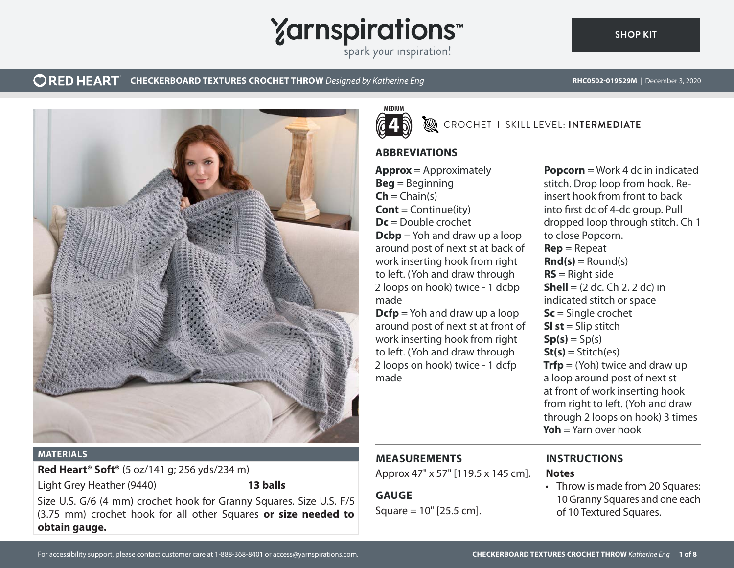

## **CORED HEART** CHECKERBOARD TEXTURES CROCHET THROW *Designed by Katherine Eng* **RHC0502-019529M** | December 3, 2020



#### **MATERIALS**

**Red Heart® Soft®** (5 oz/141 g; 256 yds/234 m)

Light Grey Heather (9440) **13 balls**

Size U.S. G/6 (4 mm) crochet hook for Granny Squares. Size U.S. F/5 (3.75 mm) crochet hook for all other Squares **or size needed to obtain gauge.**



CROCHET I SKILL LEVEL: **INTERMEDIATE**

## **ABBREVIATIONS**

**Approx** = Approximately **Beg** = Beginning  $\mathsf{Ch} = \mathsf{Chain}(s)$ **Cont** = Continue(ity) **Dc** = Double crochet **Dcbp** = Yoh and draw up a loop around post of next st at back of work inserting hook from right to left. (Yoh and draw through 2 loops on hook) twice - 1 dcbp made

**Dcfp** = Yoh and draw up a loop around post of next st at front of work inserting hook from right to left. (Yoh and draw through 2 loops on hook) twice - 1 dcfp made

**Popcorn** = Work 4 dc in indicated stitch. Drop loop from hook. Reinsert hook from front to back into first dc of 4-dc group. Pull dropped loop through stitch. Ch 1 to close Popcorn. **Rep** = Repeat  $\text{Rnd}(s) =$  Round(s) **RS** = Right side **Shell** =  $(2 \text{ dc}, \text{Ch } 2, 2 \text{ dc})$  in indicated stitch or space **Sc** = Single crochet **Sl st** = Slip stitch  $Sp(s) = Sp(s)$  $St(s) = Stitch(es)$ **Trfp** = (Yoh) twice and draw up a loop around post of next st at front of work inserting hook from right to left. (Yoh and draw through 2 loops on hook) 3 times **Yoh** = Yarn over hook

## **MEASUREMENTS**

Approx 47" x 57" [119.5 x 145 cm].

# **GAUGE**

Square = 10" [25.5 cm].

# **INSTRUCTIONS**

### **Notes**

• Throw is made from 20 Squares: 10 Granny Squares and one each of 10 Textured Squares.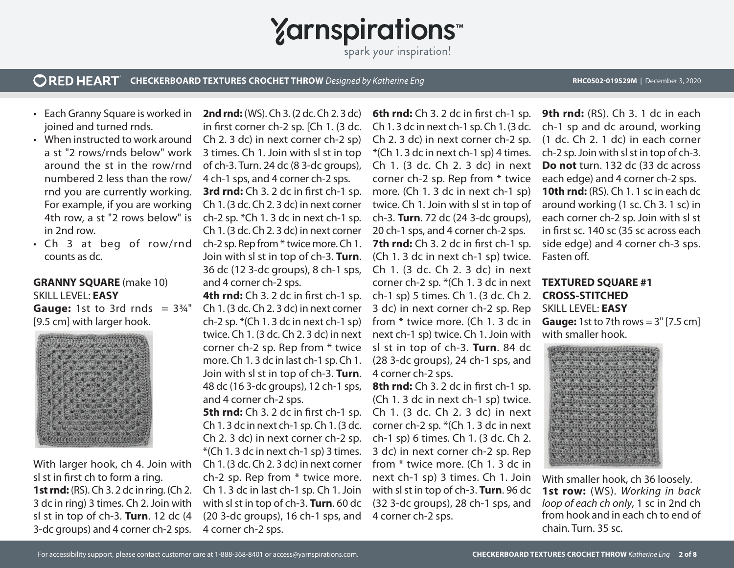**Yarnspirations** 

#### **ORED HEART CHECKERBOARD TEXTURES CROCHET THROW** *Designed by Katherine Eng* **RHC0502-019529M** | December 3, 2020

- Each Granny Square is worked in joined and turned rnds.
- When instructed to work around a st "2 rows/rnds below" work around the st in the row/rnd numbered 2 less than the row/ rnd you are currently working. For example, if you are working 4th row, a st "2 rows below" is in 2nd row.
- Ch 3 at beg of row/rnd counts as dc.

### **GRANNY SQUARE** (make 10) SKILL LEVEL: **EASY**

**Gauge:** 1st to 3rd rnds  $= 3\frac{3}{4}$ " [9.5 cm] with larger hook.



With larger hook, ch 4. Join with sl st in first ch to form a ring. **1st rnd:** (RS). Ch 3. 2 dc in ring. (Ch 2. 3 dc in ring) 3 times. Ch 2. Join with sl st in top of ch-3. **Turn**. 12 dc (4 3-dc groups) and 4 corner ch-2 sps.

**2nd rnd:** (WS). Ch 3. (2 dc. Ch 2. 3 dc) in first corner ch-2 sp. [Ch 1. (3 dc. Ch 2. 3 dc) in next corner ch-2 sp) 3 times. Ch 1. Join with sl st in top of ch-3. Turn. 24 dc (8 3-dc groups), 4 ch-1 sps, and 4 corner ch-2 sps. **3rd rnd:** Ch 3. 2 dc in first ch-1 sp. Ch 1. (3 dc. Ch 2. 3 dc) in next corner ch-2 sp. \*Ch 1. 3 dc in next ch-1 sp. Ch 1. (3 dc. Ch 2. 3 dc) in next corner ch-2 sp. Rep from \* twice more. Ch 1. Join with sl st in top of ch-3. **Turn**. 36 dc (12 3-dc groups), 8 ch-1 sps, and 4 corner ch-2 sps.

**4th rnd:** Ch 3. 2 dc in first ch-1 sp. Ch 1. (3 dc. Ch 2. 3 dc) in next corner ch-2 sp. \*(Ch 1. 3 dc in next ch-1 sp) twice. Ch 1. (3 dc. Ch 2. 3 dc) in next corner ch-2 sp. Rep from \* twice more. Ch 1. 3 dc in last ch-1 sp. Ch 1. Join with sl st in top of ch-3. **Turn**. 48 dc (16 3-dc groups), 12 ch-1 sps, and 4 corner ch-2 sps.

**5th rnd:** Ch 3. 2 dc in first ch-1 sp. Ch 1. 3 dc in next ch-1 sp. Ch 1. (3 dc. Ch 2. 3 dc) in next corner ch-2 sp. \*(Ch 1. 3 dc in next ch-1 sp) 3 times. Ch 1. (3 dc. Ch 2. 3 dc) in next corner ch-2 sp. Rep from \* twice more. Ch 1. 3 dc in last ch-1 sp. Ch 1. Join with sl st in top of ch-3. **Turn**. 60 dc (20 3-dc groups), 16 ch-1 sps, and 4 corner ch-2 sps.

**6th rnd:** Ch 3. 2 dc in first ch-1 sp. Ch 1. 3 dc in next ch-1 sp. Ch 1. (3 dc. Ch 2. 3 dc) in next corner ch-2 sp. \*(Ch 1. 3 dc in next ch-1 sp) 4 times. Ch 1. (3 dc. Ch 2. 3 dc) in next corner ch-2 sp. Rep from \* twice more. (Ch 1. 3 dc in next ch-1 sp) twice. Ch 1. Join with sl st in top of ch-3. **Turn**. 72 dc (24 3-dc groups), 20 ch-1 sps, and 4 corner ch-2 sps. **7th rnd:** Ch 3. 2 dc in first ch-1 sp. (Ch 1. 3 dc in next ch-1 sp) twice. Ch 1. (3 dc. Ch 2. 3 dc) in next corner ch-2 sp. \*(Ch 1. 3 dc in next **TEXTURED SQUARE #1**  ch-1 sp) 5 times. Ch 1. (3 dc. Ch 2. 3 dc) in next corner ch-2 sp. Rep from \* twice more. (Ch 1. 3 dc in next ch-1 sp) twice. Ch 1. Join with sl st in top of ch-3. **Turn**. 84 dc (28 3-dc groups), 24 ch-1 sps, and 4 corner ch-2 sps.

**8th rnd:** Ch 3. 2 dc in first ch-1 sp. (Ch 1. 3 dc in next ch-1 sp) twice. Ch 1. (3 dc. Ch 2. 3 dc) in next corner ch-2 sp. \*(Ch 1. 3 dc in next ch-1 sp) 6 times. Ch 1. (3 dc. Ch 2. 3 dc) in next corner ch-2 sp. Rep from \* twice more. (Ch 1. 3 dc in next ch-1 sp) 3 times. Ch 1. Join with sl st in top of ch-3. **Turn**. 96 dc (32 3-dc groups), 28 ch-1 sps, and 4 corner ch-2 sps.

**9th rnd:** (RS). Ch 3. 1 dc in each ch-1 sp and dc around, working (1 dc. Ch 2. 1 dc) in each corner ch-2 sp. Join with sl st in top of ch-3. **Do not** turn. 132 dc (33 dc across each edge) and 4 corner ch-2 sps. **10th rnd:** (RS). Ch 1. 1 sc in each dc around working (1 sc. Ch 3. 1 sc) in each corner ch-2 sp. Join with sl st in first sc. 140 sc (35 sc across each side edge) and 4 corner ch-3 sps. Fasten off.

# **CROSS-STITCHED**  SKILL LEVEL: **EASY Gauge:** 1st to 7th rows = 3" [7.5 cm] with smaller hook.



With smaller hook, ch 36 loosely. **1st row:** (WS). *Working in back loop of each ch only*, 1 sc in 2nd ch from hook and in each ch to end of chain. Turn. 35 sc.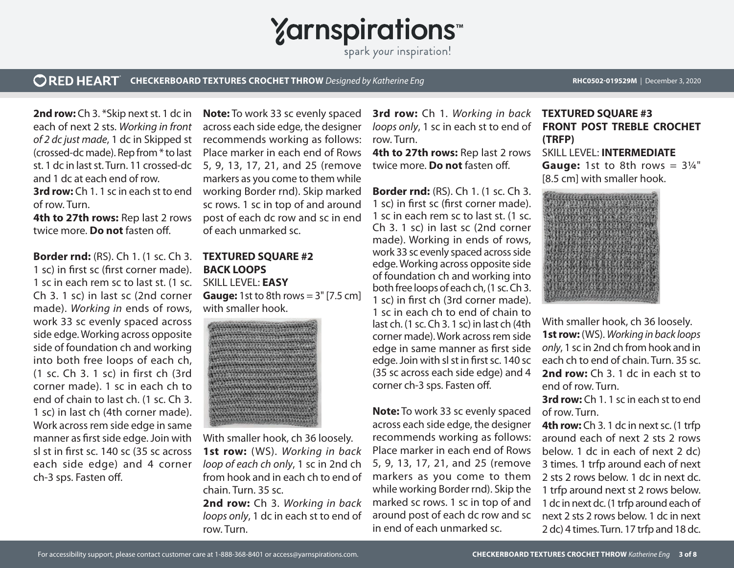

#### **ORED HEART CHECKERBOARD TEXTURES CROCHET THROW** *Designed by Katherine Eng* **RHC0502-019529M** | December 3, 2020

**2nd row:** Ch 3. \*Skip next st. 1 dc in each of next 2 sts. *Working in front of 2 dc just made*, 1 dc in Skipped st (crossed-dc made). Rep from \* to last st. 1 dc in last st. Turn. 11 crossed-dc 5, 9, 13, 17, 21, and 25 (remove and 1 dc at each end of row. **3rd row:** Ch 1. 1 sc in each st to end

of row. Turn. **4th to 27th rows: Rep last 2 rows** twice more. **Do not** fasten off.

**Border rnd:** (RS). Ch 1. (1 sc. Ch 3. 1 sc) in first sc (first corner made). 1 sc in each rem sc to last st. (1 sc. Ch 3. 1 sc) in last sc (2nd corner made). *Working in* ends of rows, work 33 sc evenly spaced across side edge. Working across opposite side of foundation ch and working into both free loops of each ch, (1 sc. Ch 3. 1 sc) in first ch (3rd corner made). 1 sc in each ch to end of chain to last ch. (1 sc. Ch 3. 1 sc) in last ch (4th corner made). Work across rem side edge in same manner as first side edge. Join with sl st in first sc. 140 sc (35 sc across each side edge) and 4 corner ch-3 sps. Fasten off.

**Note:** To work 33 sc evenly spaced across each side edge, the designer recommends working as follows: Place marker in each end of Rows markers as you come to them while working Border rnd). Skip marked sc rows. 1 sc in top of and around post of each dc row and sc in end of each unmarked sc.

## **TEXTURED SQUARE #2 BACK LOOPS**  SKILL LEVEL: **EASY Gauge:** 1st to 8th rows = 3" [7.5 cm] with smaller hook.



With smaller hook, ch 36 loosely. **1st row:** (WS). *Working in back loop of each ch only*, 1 sc in 2nd ch from hook and in each ch to end of chain. Turn. 35 sc. **2nd row:** Ch 3. *Working in back loops only*, 1 dc in each st to end of row. Turn.

**3rd row:** Ch 1. *Working in back*  **TEXTURED SQUARE #3** *loops only*, 1 sc in each st to end of row. Turn.

**4th to 27th rows:** Rep last 2 rows twice more. **Do not** fasten off.

**Border rnd:** (RS). Ch 1. (1 sc. Ch 3. 1 sc) in first sc (first corner made). 1 sc in each rem sc to last st. (1 sc. Ch 3. 1 sc) in last sc (2nd corner made). Working in ends of rows, work 33 sc evenly spaced across side edge. Working across opposite side of foundation ch and working into both free loops of each ch, (1 sc. Ch 3. 1 sc) in first ch (3rd corner made). 1 sc in each ch to end of chain to last ch. (1 sc. Ch 3. 1 sc) in last ch (4th corner made). Work across rem side edge in same manner as first side edge. Join with sl st in first sc. 140 sc (35 sc across each side edge) and 4 corner ch-3 sps. Fasten off.

**Note:** To work 33 sc evenly spaced across each side edge, the designer recommends working as follows: Place marker in each end of Rows 5, 9, 13, 17, 21, and 25 (remove markers as you come to them while working Border rnd). Skip the marked sc rows. 1 sc in top of and around post of each dc row and sc in end of each unmarked sc.

# **FRONT POST TREBLE CROCHET (TRFP)**  SKILL LEVEL: **INTERMEDIATE**

**Gauge:** 1st to 8th rows  $= 3\frac{1}{4}$ " [8.5 cm] with smaller hook.



With smaller hook, ch 36 loosely. **1st row:** (WS). *Working in back loops only*, 1 sc in 2nd ch from hook and in each ch to end of chain. Turn. 35 sc. **2nd row:** Ch 3. 1 dc in each st to end of row. Turn.

**3rd row:** Ch 1. 1 sc in each st to end of row. Turn.

**4th row:** Ch 3. 1 dc in next sc. (1 trfp around each of next 2 sts 2 rows below. 1 dc in each of next 2 dc) 3 times. 1 trfp around each of next 2 sts 2 rows below. 1 dc in next dc. 1 trfp around next st 2 rows below. 1 dc in next dc. (1 trfp around each of next 2 sts 2 rows below. 1 dc in next 2 dc) 4 times. Turn. 17 trfp and 18 dc.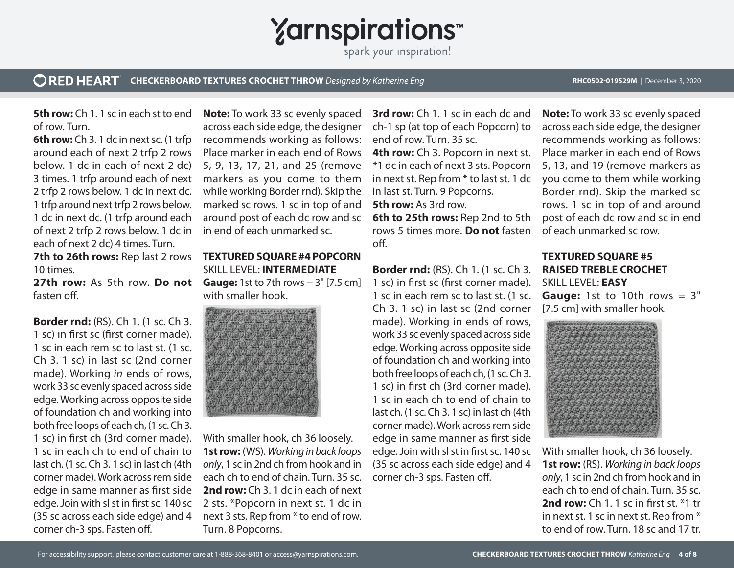

#### **ORED HEART CHECKERBOARD TEXTURES CROCHET THROW** *Designed by Katherine Eng* **RHC0502-019529M** | December 3, 2020

**5th row:** Ch 1. 1 sc in each st to end of row. Turn.

**6th row:** Ch 3. 1 dc in next sc. (1 trfp around each of next 2 trfp 2 rows below. 1 dc in each of next 2 dc) 3 times. 1 trfp around each of next 2 trfp 2 rows below. 1 dc in next dc. 1 trfp around next trfp 2 rows below. 1 dc in next dc. (1 trfp around each of next 2 trfp 2 rows below. 1 dc in each of next 2 dc) 4 times. Turn. **7th to 26th rows:** Rep last 2 rows

10 times.

**27th row:** As 5th row. **Do not** fasten off.

**Border rnd:** (RS). Ch 1. (1 sc. Ch 3. 1 sc) in first sc (first corner made). 1 sc in each rem sc to last st. (1 sc. Ch 3. 1 sc) in last sc (2nd corner made). Working *in* ends of rows, work 33 sc evenly spaced across side edge. Working across opposite side of foundation ch and working into both free loops of each ch, (1 sc. Ch 3. 1 sc) in first ch (3rd corner made). 1 sc in each ch to end of chain to last ch. (1 sc. Ch 3. 1 sc) in last ch (4th corner made). Work across rem side edge in same manner as first side edge. Join with sl st in first sc. 140 sc (35 sc across each side edge) and 4 corner ch-3 sps. Fasten off.

**Note:** To work 33 sc evenly spaced across each side edge, the designer recommends working as follows: Place marker in each end of Rows 5, 9, 13, 17, 21, and 25 (remove markers as you come to them while working Border rnd). Skip the marked sc rows. 1 sc in top of and around post of each dc row and sc in end of each unmarked sc.

**TEXTURED SQUARE #4 POPCORN** SKILL LEVEL: **INTERMEDIATE Gauge:** 1st to 7th rows = 3" [7.5 cm] with smaller hook.



With smaller hook, ch 36 loosely. **1st row:** (WS). *Working in back loops only*, 1 sc in 2nd ch from hook and in each ch to end of chain. Turn. 35 sc. **2nd row:** Ch 3. 1 dc in each of next 2 sts. \*Popcorn in next st. 1 dc in next 3 sts. Rep from \* to end of row. Turn. 8 Popcorns.

**3rd row:** Ch 1. 1 sc in each dc and ch-1 sp (at top of each Popcorn) to end of row. Turn. 35 sc.

**4th row:** Ch 3. Popcorn in next st. \*1 dc in each of next 3 sts. Popcorn in next st. Rep from \* to last st. 1 dc in last st. Turn. 9 Popcorns.

**5th row:** As 3rd row.

**6th to 25th rows:** Rep 2nd to 5th rows 5 times more. **Do not** fasten off.

**Border rnd:** (RS). Ch 1. (1 sc. Ch 3. 1 sc) in first sc (first corner made). 1 sc in each rem sc to last st. (1 sc. Ch 3. 1 sc) in last sc (2nd corner made). Working in ends of rows, work 33 sc evenly spaced across side edge. Working across opposite side of foundation ch and working into both free loops of each ch, (1 sc. Ch 3. 1 sc) in first ch (3rd corner made). 1 sc in each ch to end of chain to last ch. (1 sc. Ch 3. 1 sc) in last ch (4th corner made). Work across rem side edge in same manner as first side edge. Join with sl st in first sc. 140 sc (35 sc across each side edge) and 4 corner ch-3 sps. Fasten off.

**Note:** To work 33 sc evenly spaced across each side edge, the designer recommends working as follows: Place marker in each end of Rows 5, 13, and 19 (remove markers as you come to them while working Border rnd). Skip the marked sc rows. 1 sc in top of and around post of each dc row and sc in end of each unmarked sc row.

### **TEXTURED SQUARE #5 RAISED TREBLE CROCHET** SKILL LEVEL: **EASY**

**Gauge:** 1st to 10th rows = 3" [7.5 cm] with smaller hook.



With smaller hook, ch 36 loosely. **1st row:** (RS). *Working in back loops only*, 1 sc in 2nd ch from hook and in each ch to end of chain. Turn. 35 sc. **2nd row:** Ch 1. 1 sc in first st. \*1 tr in next st. 1 sc in next st. Rep from \* to end of row. Turn. 18 sc and 17 tr.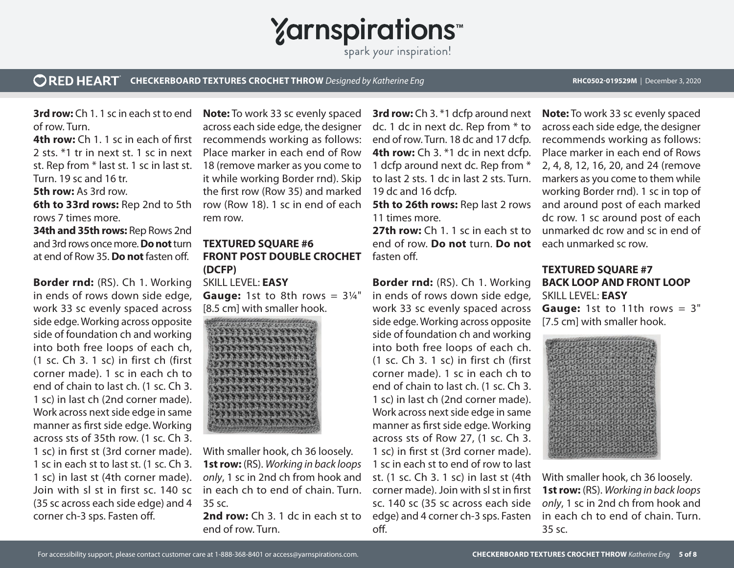

#### **ORED HEART CHECKERBOARD TEXTURES CROCHET THROW** *Designed by Katherine Eng* **RHC0502-019529M** | December 3, 2020

**3rd row:** Ch 1. 1 sc in each st to end of row. Turn.

**4th row:** Ch 1. 1 sc in each of first 2 sts. \*1 tr in next st. 1 sc in next st. Rep from \* last st. 1 sc in last st. Turn. 19 sc and 16 tr. **5th row:** As 3rd row.

**6th to 33rd rows:** Rep 2nd to 5th rows 7 times more.

**34th and 35th rows:** Rep Rows 2nd and 3rd rows once more. **Do not** turn at end of Row 35. **Do not** fasten off.

**Border rnd:** (RS). Ch 1. Working in ends of rows down side edge, work 33 sc evenly spaced across side edge. Working across opposite side of foundation ch and working into both free loops of each ch, (1 sc. Ch 3. 1 sc) in first ch (first corner made). 1 sc in each ch to end of chain to last ch. (1 sc. Ch 3. 1 sc) in last ch (2nd corner made). Work across next side edge in same manner as first side edge. Working across sts of 35th row. (1 sc. Ch 3. 1 sc) in first st (3rd corner made). 1 sc in each st to last st. (1 sc. Ch 3. 1 sc) in last st (4th corner made). Join with sl st in first sc. 140 sc (35 sc across each side edge) and 4 corner ch-3 sps. Fasten off.

**Note:** To work 33 sc evenly spaced across each side edge, the designer recommends working as follows: Place marker in each end of Row 18 (remove marker as you come to it while working Border rnd). Skip the first row (Row 35) and marked row (Row 18). 1 sc in end of each rem row.

## **TEXTURED SQUARE #6 FRONT POST DOUBLE CROCHET (DCFP)**

SKILL LEVEL: **EASY Gauge:** 1st to 8th rows  $= 3\frac{1}{4}$ " [8.5 cm] with smaller hook.



With smaller hook, ch 36 loosely. **1st row:** (RS). *Working in back loops only*, 1 sc in 2nd ch from hook and in each ch to end of chain. Turn. 35 sc.

**2nd row:** Ch 3. 1 dc in each st to end of row. Turn.

**3rd row:** Ch 3. \*1 dcfp around next dc. 1 dc in next dc. Rep from \* to end of row. Turn. 18 dc and 17 dcfp. **4th row:** Ch 3. \*1 dc in next dcfp. 1 dcfp around next dc. Rep from \* to last 2 sts. 1 dc in last 2 sts. Turn. 19 dc and 16 dcfp.

**5th to 26th rows:** Rep last 2 rows 11 times more.

**27th row:** Ch 1, 1 sc in each st to end of row. **Do not** turn. **Do not** fasten off.

**Border rnd:** (RS). Ch 1. Working in ends of rows down side edge, work 33 sc evenly spaced across side edge. Working across opposite side of foundation ch and working into both free loops of each ch. (1 sc. Ch 3. 1 sc) in first ch (first corner made). 1 sc in each ch to end of chain to last ch. (1 sc. Ch 3. 1 sc) in last ch (2nd corner made). Work across next side edge in same manner as first side edge. Working across sts of Row 27, (1 sc. Ch 3. 1 sc) in first st (3rd corner made). 1 sc in each st to end of row to last st. (1 sc. Ch 3. 1 sc) in last st (4th corner made). Join with sl st in first sc. 140 sc (35 sc across each side edge) and 4 corner ch-3 sps. Fasten off.

**Note:** To work 33 sc evenly spaced across each side edge, the designer recommends working as follows: Place marker in each end of Rows 2, 4, 8, 12, 16, 20, and 24 (remove markers as you come to them while working Border rnd). 1 sc in top of and around post of each marked dc row. 1 sc around post of each unmarked dc row and sc in end of each unmarked sc row.

### **TEXTURED SQUARE #7 BACK LOOP AND FRONT LOOP** SKILL LEVEL: **EASY**

**Gauge:** 1st to 11th rows = 3" [7.5 cm] with smaller hook.



With smaller hook, ch 36 loosely. **1st row:** (RS). *Working in back loops only*, 1 sc in 2nd ch from hook and in each ch to end of chain. Turn. 35 sc.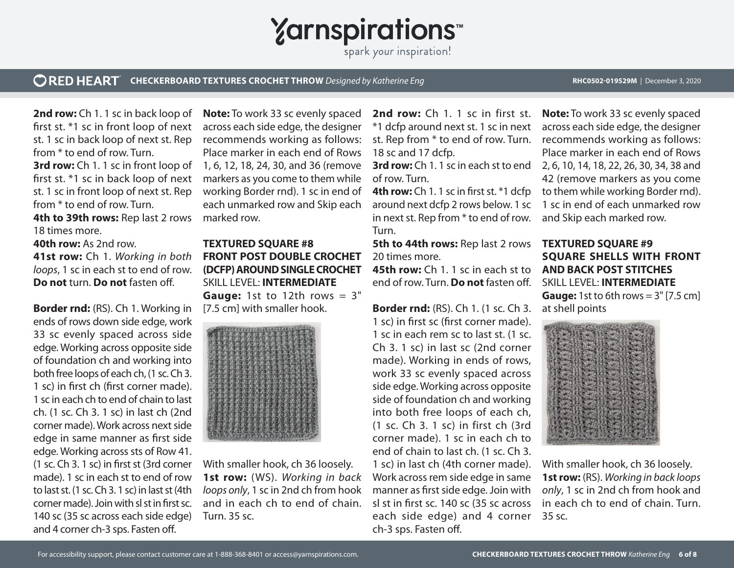

#### **ORED HEART CHECKERBOARD TEXTURES CROCHET THROW** *Designed by Katherine Eng* **RHC0502-019529M** | December 3, 2020

**2nd row:** Ch 1. 1 sc in back loop of first st. \*1 sc in front loop of next st. 1 sc in back loop of next st. Rep from \* to end of row. Turn. **3rd row:** Ch 1. 1 sc in front loop of first st. \*1 sc in back loop of next st. 1 sc in front loop of next st. Rep from \* to end of row. Turn.

**4th to 39th rows:** Rep last 2 rows 18 times more.

**40th row:** As 2nd row.

**41st row:** Ch 1. *Working in both loops*, 1 sc in each st to end of row. **Do not** turn. **Do not** fasten off.

**Border rnd:** (RS). Ch 1. Working in ends of rows down side edge, work 33 sc evenly spaced across side edge. Working across opposite side of foundation ch and working into both free loops of each ch, (1 sc. Ch 3. 1 sc) in first ch (first corner made). 1 sc in each ch to end of chain to last ch. (1 sc. Ch 3. 1 sc) in last ch (2nd corner made). Work across next side edge in same manner as first side edge. Working across sts of Row 41. (1 sc. Ch 3. 1 sc) in first st (3rd corner made). 1 sc in each st to end of row to last st. (1 sc. Ch 3. 1 sc) in last st (4th corner made). Join with sl st in first sc. 140 sc (35 sc across each side edge) and 4 corner ch-3 sps. Fasten off.

**Note:** To work 33 sc evenly spaced across each side edge, the designer recommends working as follows: Place marker in each end of Rows 1, 6, 12, 18, 24, 30, and 36 (remove markers as you come to them while working Border rnd). 1 sc in end of each unmarked row and Skip each marked row.

**TEXTURED SQUARE #8 FRONT POST DOUBLE CROCHET (DCFP) AROUND SINGLE CROCHET** SKILL LEVEL: **INTERMEDIATE Gauge:** 1st to 12th rows = 3" [7.5 cm] with smaller hook.



With smaller hook, ch 36 loosely. **1st row:** (WS). *Working in back loops only*, 1 sc in 2nd ch from hook and in each ch to end of chain. Turn. 35 sc.

2nd row: Ch 1. 1 sc in first st. \*1 dcfp around next st. 1 sc in next st. Rep from \* to end of row. Turn. 18 sc and 17 dcfp.

of row. Turn.

**4th row:** Ch 1. 1 sc in first st. \*1 dcfp around next dcfp 2 rows below. 1 sc in next st. Rep from \* to end of row. Turn.

**5th to 44th rows:** Rep last 2 rows 20 times more.

**45th row:** Ch 1. 1 sc in each st to **AND BACK POST STITCHES**  end of row. Turn. **Do not** fasten off.

**Border rnd:** (RS). Ch 1. (1 sc. Ch 3. 1 sc) in first sc (first corner made). 1 sc in each rem sc to last st. (1 sc. Ch 3. 1 sc) in last sc (2nd corner made). Working in ends of rows, work 33 sc evenly spaced across side edge. Working across opposite side of foundation ch and working into both free loops of each ch, (1 sc. Ch 3. 1 sc) in first ch (3rd corner made). 1 sc in each ch to end of chain to last ch. (1 sc. Ch 3. 1 sc) in last ch (4th corner made). Work across rem side edge in same manner as first side edge. Join with sl st in first sc. 140 sc (35 sc across each side edge) and 4 corner ch-3 sps. Fasten off.

**3rd row:** Ch 1. 1 sc in each st to end 2, 6, 10, 14, 18, 22, 26, 30, 34, 38 and **Note:** To work 33 sc evenly spaced across each side edge, the designer recommends working as follows: Place marker in each end of Rows 42 (remove markers as you come to them while working Border rnd). 1 sc in end of each unmarked row and Skip each marked row.

# **TEXTURED SQUARE #9 SQUARE SHELLS WITH FRONT**  SKILL LEVEL: **INTERMEDIATE Gauge:** 1st to 6th rows = 3" [7.5 cm]

at shell points



With smaller hook, ch 36 loosely. **1st row:** (RS). *Working in back loops only*, 1 sc in 2nd ch from hook and in each ch to end of chain. Turn. 35 sc.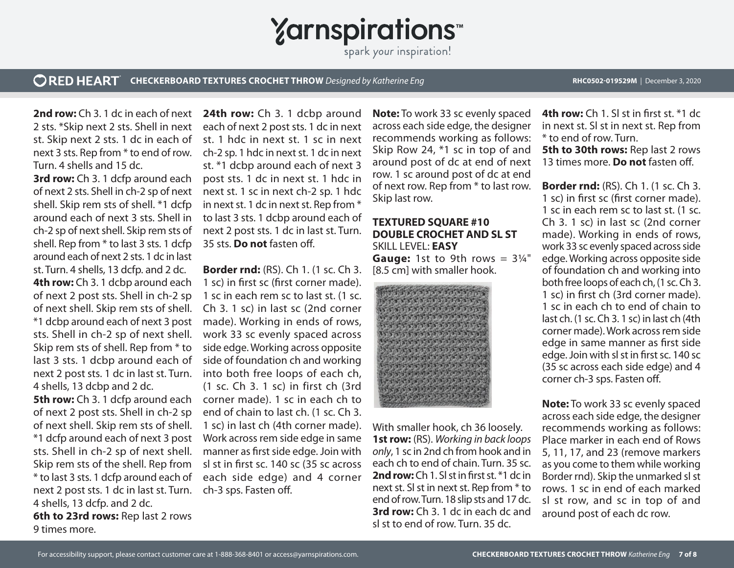**Yarnspirations** 

spark your inspiration!

#### **ORED HEART CHECKERBOARD TEXTURES CROCHET THROW** *Designed by Katherine Eng* **RHC0502-019529M** | December 3, 2020

**2nd row:** Ch 3. 1 dc in each of next 2 sts. \*Skip next 2 sts. Shell in next st. Skip next 2 sts. 1 dc in each of next 3 sts. Rep from \* to end of row. Turn. 4 shells and 15 dc.

**3rd row:** Ch 3. 1 dcfp around each of next 2 sts. Shell in ch-2 sp of next shell. Skip rem sts of shell. \*1 dcfp around each of next 3 sts. Shell in ch-2 sp of next shell. Skip rem sts of shell. Rep from \* to last 3 sts. 1 dcfp around each of next 2 sts. 1 dc in last st. Turn. 4 shells, 13 dcfp. and 2 dc. **4th row:** Ch 3. 1 dcbp around each of next 2 post sts. Shell in ch-2 sp of next shell. Skip rem sts of shell. \*1 dcbp around each of next 3 post sts. Shell in ch-2 sp of next shell. Skip rem sts of shell. Rep from \* to last 3 sts. 1 dcbp around each of next 2 post sts. 1 dc in last st. Turn. 4 shells, 13 dcbp and 2 dc. **5th row:** Ch 3. 1 dcfp around each of next 2 post sts. Shell in ch-2 sp of next shell. Skip rem sts of shell. \*1 dcfp around each of next 3 post sts. Shell in ch-2 sp of next shell. Skip rem sts of the shell. Rep from \* to last 3 sts. 1 dcfp around each of next 2 post sts. 1 dc in last st. Turn. 4 shells, 13 dcfp. and 2 dc. **6th to 23rd rows:** Rep last 2 rows 9 times more.

24th row: Ch 3. 1 dcbp around each of next 2 post sts. 1 dc in next st. 1 hdc in next st. 1 sc in next ch-2 sp. 1 hdc in next st. 1 dc in next st. \*1 dcbp around each of next 3 post sts. 1 dc in next st. 1 hdc in next st. 1 sc in next ch-2 sp. 1 hdc in next st. 1 dc in next st. Rep from \* to last 3 sts. 1 dcbp around each of next 2 post sts. 1 dc in last st. Turn. 35 sts. **Do not** fasten off.

**Border rnd:** (RS). Ch 1. (1 sc. Ch 3. 1 sc) in first sc (first corner made). 1 sc in each rem sc to last st. (1 sc. Ch 3. 1 sc) in last sc (2nd corner made). Working in ends of rows, work 33 sc evenly spaced across side edge. Working across opposite side of foundation ch and working into both free loops of each ch, (1 sc. Ch 3. 1 sc) in first ch (3rd corner made). 1 sc in each ch to end of chain to last ch. (1 sc. Ch 3. 1 sc) in last ch (4th corner made). Work across rem side edge in same manner as first side edge. Join with sl st in first sc. 140 sc (35 sc across each side edge) and 4 corner ch-3 sps. Fasten off.

**Note:** To work 33 sc evenly spaced across each side edge, the designer recommends working as follows: Skip Row 24, \*1 sc in top of and around post of dc at end of next row. 1 sc around post of dc at end of next row. Rep from \* to last row. Skip last row.

### **TEXTURED SQUARE #10 DOUBLE CROCHET AND SL ST**  SKILL LEVEL: **EASY Gauge:** 1st to 9th rows  $= 3\frac{1}{4}$ "

[8.5 cm] with smaller hook.



With smaller hook, ch 36 loosely. **1st row:** (RS). *Working in back loops only*, 1 sc in 2nd ch from hook and in each ch to end of chain. Turn. 35 sc. **2nd row:** Ch 1. Sl st in first st. \*1 dc in next st. Sl st in next st. Rep from \* to end of row. Turn. 18 slip sts and 17 dc. **3rd row:** Ch 3. 1 dc in each dc and sl st to end of row. Turn. 35 dc.

**4th row:** Ch 1. Sl st in first st. \*1 dc in next st. Sl st in next st. Rep from \* to end of row. Turn.

**5th to 30th rows: Rep last 2 rows** 13 times more. **Do not** fasten off.

**Border rnd:** (RS). Ch 1. (1 sc. Ch 3. 1 sc) in first sc (first corner made). 1 sc in each rem sc to last st. (1 sc. Ch 3. 1 sc) in last sc (2nd corner made). Working in ends of rows, work 33 sc evenly spaced across side edge. Working across opposite side of foundation ch and working into both free loops of each ch, (1 sc. Ch 3. 1 sc) in first ch (3rd corner made). 1 sc in each ch to end of chain to last ch. (1 sc. Ch 3. 1 sc) in last ch (4th corner made). Work across rem side edge in same manner as first side edge. Join with sl st in first sc. 140 sc (35 sc across each side edge) and 4 corner ch-3 sps. Fasten off.

**Note:** To work 33 sc evenly spaced across each side edge, the designer recommends working as follows: Place marker in each end of Rows 5, 11, 17, and 23 (remove markers as you come to them while working Border rnd). Skip the unmarked sl st rows. 1 sc in end of each marked sl st row, and sc in top of and around post of each dc row.